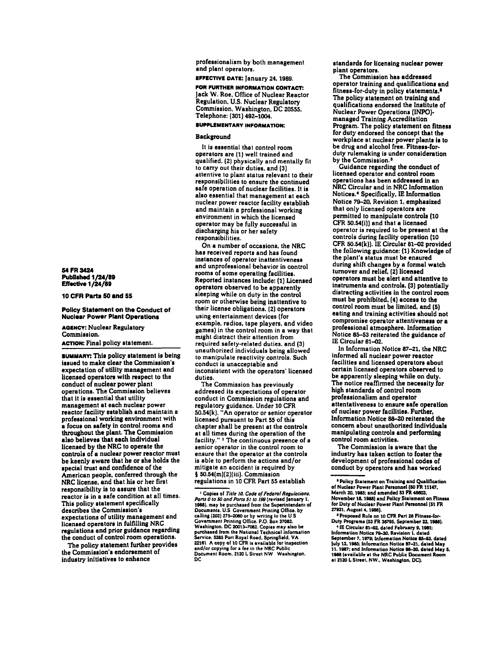54FR3424 Published 1/24/89 Effective 1/24/81

#### 10 CFR Parts 50 and 55

## Polley Statement on the Conduct of Nuclear Power Plant Operatlona

# AGENCY: Nuclear Regulatory Commission. ACTION: Final policy statement.

**SUMMARY:** This policy statement is being issued to make clear the Commission's expectation of utility management and licensed operators with respect to the conduct of nuclear power plant operations. The Commission believes that it is essential that utility management at each nuclear power<br>reactor facility establish and maintain a professional working environment with a focus on safety in control rooms and throughout the plant. The Commission also believes that each individual licensed by the NRC to operate the controls of a nuclear power reactor must be keenly aware that he or she holds the special trust and confidence of the American people, conferred through the NRC license, and that his or her first responsibility is to assure that the reactor is in a safe condition at all times. This policy statement specifically describes the Commission's expectations of utility management and licensed operators in fulfilling NRC regulations and prior guidance regarding the conduct of control room operations.

The policy statement further provides the Commission's endorsement of industry initiatives to enhance

professionalism by both management and plant operators.

# EFFECTIVE DATE: January 24. 1989.

FOR FURTHER INFORMATION CONTACT: Jack W. Roe. Office of Nuclear Reactor Regulation. U.S. Nuclear Regulatory Commission. Washington, DC 20555, Telephone: (301) 492-1004.

# SUPPLEMENTARY INFORMATION:

# Background

It is essential that control room operators are (1) well trained and qualified. (2) physically and mentally fit to carry out their duties. and (3) attentive to plant status relevant to their responsibilities to ensure the continued safe operation of nuclear facilities. It is also essential that management at each nuclear power reactor facility establish and maintain a professional working environment in which the licensed operator may be fully successful in discharging his or her safety responsibilities.

On a number of occasions. the NRC has received reports and has found instances of operator inattentiveness and unprofessional behavior in control rooms of some operating facilities. Reported instances include: (1) Licensed operators observed to be apparently sleeping while on duty in the control room or otherwise being inattentive to their license obligations. (2) operators using entertainment devices (for example. radios. tape players. and video games) in the control room in a way that might distract their attention from required safety·related duties. and (3) unauthorized individuals being allowed 10 manipulate reactivity controls. Such conduct is unacceptable and inconsistent with the operators' licensed duties.

The Commission has previously addressed its expectations of operator conduct in Commission regulations and regulatory guidance. Under 10 CFR 50.54(k). "An operator or senior operator licensed pursuant to Part 55 of this chapter shall be present at the controls at all times during the operation of the facility." <sup>1</sup> The continuous presence of a senior operator in the control room to ensure that the operator at the controls is able to perform the actions and/or mitigate an accident is required by § 50.54(m)(2)(iii). Commission regulations in 10 CFR Part 55 establish

standards for licensing nuclear power plant operators.

The Commission has addressed operator training and qualifications and fitness-for-duty in policy statements.· The policy statement on training and qualifications endorsed the Institute of Nuclear Power Operations (INPO) managed Training Accreditation Program. The policy statement on fitness for duty endorsed the concept that the workplace at nuclear power plants is to be drug and alcohol free. Fitness-forduty rulemaking is under consideration by the Commission.<sup>3</sup>

Guidance regarding the conduct of<br>licensed operator and control room operations has been addressed in an<br>NRC Circular and in NRC Information Notices.· Specifically. IE Information Notice 79-20. Revision 1. emphasized that only licensed operators are permitted to manipulate controls (10 CFR SO.54(i)) and that a licensed operator is required to be present at the controls during facility operation (10 CFR  $50.54(k)$ ). IE Circular 81-02 provided the following guidance: (1) Knowledge of the plant's status must be ensured during shift changes by a formal watch tumover and relief. (2) licensed operators must be alert and attentive to instruments and controls. (3) potentially distracting activities in the control room must be prohibited. (4) access to the control room must be limited. and (5) eating and training activities should not compromise operator attentiveness or a professional atmosphere. Information Notice 85-53 reiterated the guidance of IE Circular 81-02.

In Information Notice 87-21. the NRC informed all nuclear power reactor facilities and licensed operators about certain licensed operators observed to be apparently sleeping while on duty. The notice reaffirmed the necessity for high standards of control room professionalism and operator attentativeness to ensure safe operation of nuclear power facilities. Further. Information Notice 88-20 reiterated the concem about unauthorized individuals manipulating controls and performing control room activities.

The Commission is aware that the industry has taken action to foster the development of professional codes of conduct by operators and has worked

• Proposed Rule on 10 CFR Part 28 Fitness-for Duty Programs (53 FR 36795. September 22, 1988).

\* IE Circular 81-02, dated February 9, 1981; Information Notice 79–20, Revision 1. dated<br>September 7, 1979: Information Notice 85–53, dated September 7, 1979; Information Notice 85 July 12. 1985: Information Notice 87–21. dated May<br>11. 1987: and Information Notice 88–20. dated May 5.<br>1988 (available at the NRC Public Document Room<br>at 2120 L Street. NW., Washington. DC).

<sup>&</sup>lt;sup>1</sup> Copies of Title 10. Code of Federal Regulations. *Ports 0* 10 *50 ond Potu 5110 1!19* (revi.ed January 1. 1988), may be purchased from the Superintenden: of<br>Documents, U.S. Government Printing Office. by calling (202) 275–2060 or by writing to the U S<br>Government Printing Office. P.O. Box 37082. Government Printing Office. P.O. Box 37082.<br>Washington. DC 20013-7082. Copies may also be<br>purchased from the National Technical Information Service. 5285 Port Royal Road, Springfield. VA<br>22161 A copy of 10 CFR is available for inspection and/or copying for a fee in the NRC Public<br>Document Room. 2120 L Street NW Washington. <sub>DC</sub>

<sup>&</sup>lt;sup>a</sup> Policy Statement on Training and Qualification of Nuclear Power Plant Personnel (50 FR 11147, March ZO. 1185: and amended 53 FR 40e03. November 18, 1988) and Policy Statement on Fitness for Duty of Nuclear Power Plant Personnel (51 FR 27921. August 4, 1986).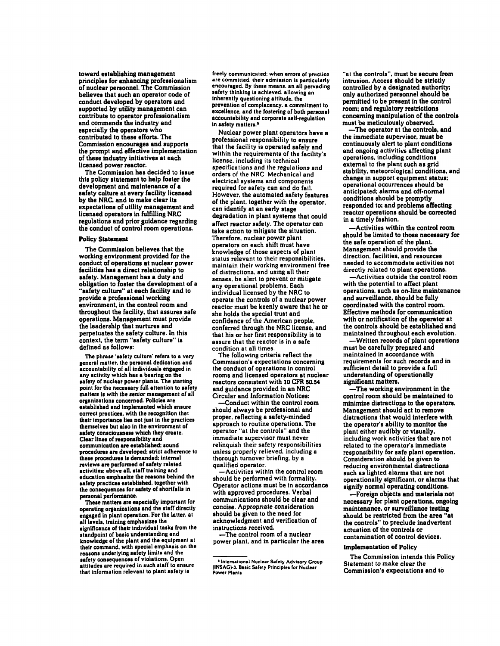toward establishing management principles for enhancing professionalism of nuclear personnel. The Commission believes that such an operator code of conduct developed by operators and supported by utility management can contribute to operator professionalism and commends the industry and especially the operators who contributed to these efforts. The Commission encourages and supports the prompt and effective implementation of these industry initiatives at each licensed power reactor.

The Commission has decided to issue this policy statement to help foster the development and maintenance of a safety culture at every facility licensed by the NRC. and to make clear lis expectations of utility management and licensed operators in fulfilling NRC regulations and prior guidance regarding the conduct of control room operations.

### Policy Statement

The Commission believes that the working environment provided for the conduct of operations at nuclear power facilities has a direct relationship to safety. Management has a duty and obligation to foster the development of a "safety culture" at each facility and to provide a professional working environment. in the control room and throughout the facility, that assures safe operations. Management must provide the leadership that nurtures and perpetuates the safety culture. In this context. the term "safety culture" is defined as follows:

The phrase 'safety culture' refers to a very general matter, the personal dedication and<br>accountability of all individuals engaged in any activity which has a bearing on the safety of nuclear power plants. The starting point for the necessary full attention to safety matters is with the senior management of all<br>organizations concerned. Policies are established and implemented which ensure correct practices, with the recognition that their importance lies not just in the practices themselves but also in the environment of safety consciousness which they create. Clear lines of responsibility and communication are established: sound procedures are developed; strict adherence to these procedures is demanded; internal reviews are performed of safety related activities; above all. staff training and education emphasize the reasons behind the safety practices established. together with the consequences for safety of shortfalls in<br>personal performance.

These matters are especially important for operating organizations and the staff directly engaged In plant operation. For the laller. at all levels, training emphasizes the<br>significance of their individual tasks from the standpoint of basic understanding and knowledge of the plant and the equipment al their command, with special emphasis on the reasons underlying safety limits and the<br>safety consequences of violations. Open attitudes are required in such staff to ensure that information relevant to plant safety is

freely communicated: when errors of practice are committed, their admission is particularly encouraged. By these means, an all pervading safety thinking is achieved. allowing an inherently questioning attitude, the prevention of complacency. a commitment to excellence, and the fostering of both personal accountability and corporate self-regulation in safety matters.<sup>8</sup>

Nuclear power plant operators have a professional responsibility to ensure that the facility is operated safely and within the requirements of the facility's license. including its technical specifications and the regulations and orders of the NRC Mechanical and electrical systems and components required for safety can and do fail. However. the automated safety features of the plant, together with the operator, can identify at an early stage degradation in plant systems that could affect reactor safety. The operator can take action to mitigate the situation. Therefore. nuclear power plant operators on each shift must have knowledge of those aspects of plant status relevant to their responsibilities, maintain their working environment free of distractions. and using all their senses, be alert to prevent or mitigate any operational problems. Each individual licensed by the NRC to operate the controls of a nuclear power reactor must be keenly aware that he or she holds the special trust and confidence of the American people, conferred through the NRC license, and assure that the reactor is in a safe condition at all times.

The following criteria reflect the Commission's expectations concerning rooms and licensed operators at nuclear reactors consistent with 10 CPR 50.54 and guidance provided in an NRC Circular and Information Notices:

-Conduct within the control room should always be professional and proper, reflecting a safety-minded approach to routine operations. The operator "at the controls" and the immediate supervisor must never relinquish their safety responsibilities<br>unless properly relieved, including a thorough turnover briefing, by a qualified operator.

-Activities within the control room should be performed with formality. Operator actions must be in accordance with approved procedures. Verbal communications should be clear and concise. Appropriate consideration should be given to the need for acknowledgment and verification of instructions received.

-The control room of a nuclear power plant. and in particular the area

"at the controls". must be secure from intrusion. Access should be strictly controlled by a designated authority; only authorized personnel should be permitted to be present in the control room: and regulatory restrictions concerning manipulation of the controls must be meticulously observed.

-The operator at the controls. and the immediate supervisor. must be continuously alert to plant conditions and ongoing activities affecting plant operations. including conditions external to the plant such as grid stability. meteorological conditions. and change in support equipment status: operational occurrences should be anticipated; alarms and off-normal conditions should be promptly responded to: and problems affecting reactor operations should be corrected in a timely fashion.

-Activities within the control room should be limited to those necessary for the safe operation of the plant. Management should provide the direction. facilities. and resources needed to accommodate activities not directly related to plant operations.

-Activities outside the control room with the potential to affect plant operations. such as on-line maintenance and surveillance, should be fully coordinated with the control room. Effective methods for communication with or notification of the operator at the controls should be established and maintained throughout each evolution.

-Written records of plant operations must be carefully prepared and maintained in accordance with requirements for such records and in sufficient detail to provide a full understanding of operationally significant matters.

-The working environment in the control room should be maintained to minimize distractions to the operators. Management should act to remove distractions that would interfere with the operator's ability to monitor the plant either audibly or visually. including work activities that are not related to the operator's immediate responsibility for safe plant operation. Consideration should be given to reducing environmental distractions such as lighted alarms that are not operationally significant. or alarms that signify normal operating conditions.

-Foreign objects and materials not necessary for plant operations. ongoing maintenance. or surveillance testing should be restricted from the area "at the controls" to preclude inadvertent actuation of the controls or contamination of control devices.

## Implementation of Policy

The Commission intends this Policy Statement to make clear the Commission's expectations and to

<sup>\*</sup> International Nuclear Safety Advisory Group (INSAC)-3. Basic Safety Principles for Nuclear Power Plants